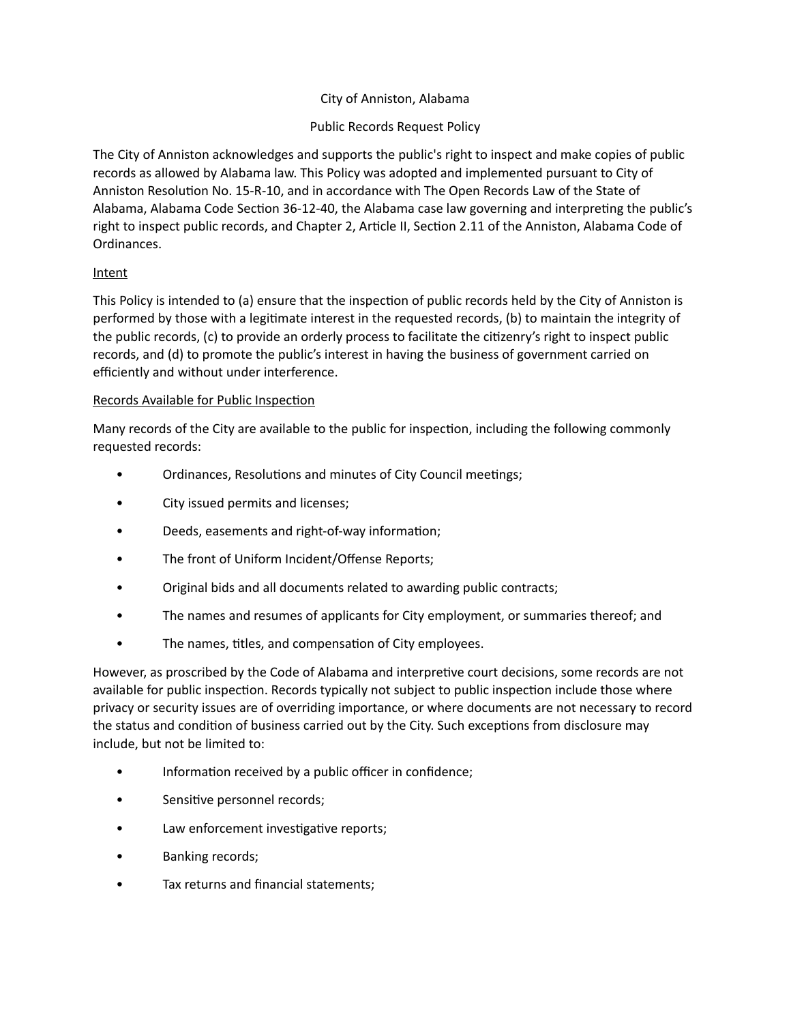# City of Anniston, Alabama

# Public Records Request Policy

The City of Anniston acknowledges and supports the public's right to inspect and make copies of public records as allowed by Alabama law. This Policy was adopted and implemented pursuant to City of Anniston Resolution No. 15-R-10, and in accordance with The Open Records Law of the State of Alabama, Alabama Code Section 36-12-40, the Alabama case law governing and interpreting the public's right to inspect public records, and Chapter 2, Article II, Section 2.11 of the Anniston, Alabama Code of Ordinances.

# Intent

This Policy is intended to (a) ensure that the inspection of public records held by the City of Anniston is performed by those with a legitimate interest in the requested records, (b) to maintain the integrity of the public records, (c) to provide an orderly process to facilitate the citizenry's right to inspect public records, and (d) to promote the public's interest in having the business of government carried on efficiently and without under interference.

### Records Available for Public Inspection

Many records of the City are available to the public for inspection, including the following commonly requested records:

- Ordinances, Resolutions and minutes of City Council meetings;
- City issued permits and licenses;
- Deeds, easements and right-of-way information;
- The front of Uniform Incident/Offense Reports;
- Original bids and all documents related to awarding public contracts;
- The names and resumes of applicants for City employment, or summaries thereof; and
- The names, titles, and compensation of City employees.

However, as proscribed by the Code of Alabama and interpretive court decisions, some records are not available for public inspection. Records typically not subject to public inspection include those where privacy or security issues are of overriding importance, or where documents are not necessary to record the status and condition of business carried out by the City. Such exceptions from disclosure may include, but not be limited to:

- Information received by a public officer in confidence;
- Sensitive personnel records;
- Law enforcement investigative reports;
- Banking records;
- Tax returns and financial statements;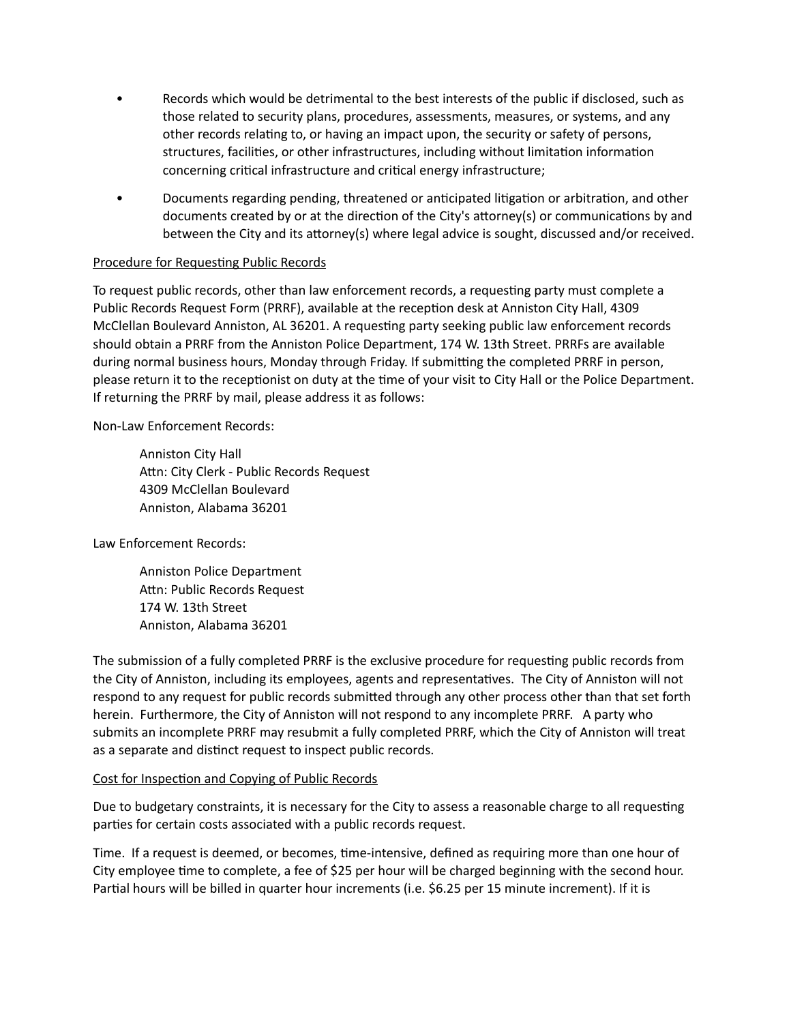- Records which would be detrimental to the best interests of the public if disclosed, such as those related to security plans, procedures, assessments, measures, or systems, and any other records relating to, or having an impact upon, the security or safety of persons, structures, facilities, or other infrastructures, including without limitation information concerning critical infrastructure and critical energy infrastructure;
- Documents regarding pending, threatened or anticipated litigation or arbitration, and other documents created by or at the direction of the City's attorney(s) or communications by and between the City and its attorney(s) where legal advice is sought, discussed and/or received.

### Procedure for Requesting Public Records

To request public records, other than law enforcement records, a requesting party must complete a Public Records Request Form (PRRF), available at the reception desk at Anniston City Hall, 4309 McClellan Boulevard Anniston, AL 36201. A requesting party seeking public law enforcement records should obtain a PRRF from the Anniston Police Department, 174 W. 13th Street. PRRFs are available during normal business hours, Monday through Friday. If submitting the completed PRRF in person, please return it to the receptionist on duty at the time of your visit to City Hall or the Police Department. If returning the PRRF by mail, please address it as follows:

Non-Law Enforcement Records:

Anniston City Hall Attn: City Clerk - Public Records Request 4309 McClellan Boulevard Anniston, Alabama 36201

Law Enforcement Records:

Anniston Police Department Attn: Public Records Request 174 W. 13th Street Anniston, Alabama 36201

The submission of a fully completed PRRF is the exclusive procedure for requesting public records from the City of Anniston, including its employees, agents and representatives. The City of Anniston will not respond to any request for public records submitted through any other process other than that set forth herein. Furthermore, the City of Anniston will not respond to any incomplete PRRF. A party who submits an incomplete PRRF may resubmit a fully completed PRRF, which the City of Anniston will treat as a separate and distinct request to inspect public records.

### Cost for Inspection and Copying of Public Records

Due to budgetary constraints, it is necessary for the City to assess a reasonable charge to all requesting parties for certain costs associated with a public records request.

Time. If a request is deemed, or becomes, time-intensive, defined as requiring more than one hour of City employee time to complete, a fee of \$25 per hour will be charged beginning with the second hour. Partial hours will be billed in quarter hour increments (i.e. \$6.25 per 15 minute increment). If it is